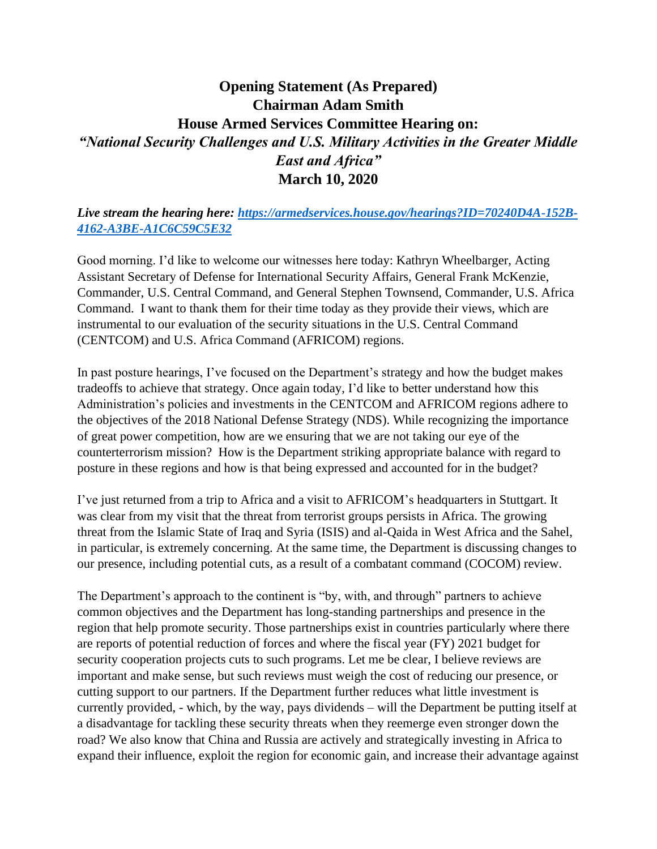## **Opening Statement (As Prepared) Chairman Adam Smith House Armed Services Committee Hearing on:** *"National Security Challenges and U.S. Military Activities in the Greater Middle East and Africa"* **March 10, 2020**

## *Live stream the hearing here: [https://armedservices.house.gov/hearings?ID=70240D4A-152B-](https://armedservices.house.gov/hearings?ID=70240D4A-152B-4162-A3BE-A1C6C59C5E32)[4162-A3BE-A1C6C59C5E32](https://armedservices.house.gov/hearings?ID=70240D4A-152B-4162-A3BE-A1C6C59C5E32)*

Good morning. I'd like to welcome our witnesses here today: Kathryn Wheelbarger, Acting Assistant Secretary of Defense for International Security Affairs, General Frank McKenzie, Commander, U.S. Central Command, and General Stephen Townsend, Commander, U.S. Africa Command. I want to thank them for their time today as they provide their views, which are instrumental to our evaluation of the security situations in the U.S. Central Command (CENTCOM) and U.S. Africa Command (AFRICOM) regions.

In past posture hearings, I've focused on the Department's strategy and how the budget makes tradeoffs to achieve that strategy. Once again today, I'd like to better understand how this Administration's policies and investments in the CENTCOM and AFRICOM regions adhere to the objectives of the 2018 National Defense Strategy (NDS). While recognizing the importance of great power competition, how are we ensuring that we are not taking our eye of the counterterrorism mission? How is the Department striking appropriate balance with regard to posture in these regions and how is that being expressed and accounted for in the budget?

I've just returned from a trip to Africa and a visit to AFRICOM's headquarters in Stuttgart. It was clear from my visit that the threat from terrorist groups persists in Africa. The growing threat from the Islamic State of Iraq and Syria (ISIS) and al-Qaida in West Africa and the Sahel, in particular, is extremely concerning. At the same time, the Department is discussing changes to our presence, including potential cuts, as a result of a combatant command (COCOM) review.

The Department's approach to the continent is "by, with, and through" partners to achieve common objectives and the Department has long-standing partnerships and presence in the region that help promote security. Those partnerships exist in countries particularly where there are reports of potential reduction of forces and where the fiscal year (FY) 2021 budget for security cooperation projects cuts to such programs. Let me be clear, I believe reviews are important and make sense, but such reviews must weigh the cost of reducing our presence, or cutting support to our partners. If the Department further reduces what little investment is currently provided, - which, by the way, pays dividends – will the Department be putting itself at a disadvantage for tackling these security threats when they reemerge even stronger down the road? We also know that China and Russia are actively and strategically investing in Africa to expand their influence, exploit the region for economic gain, and increase their advantage against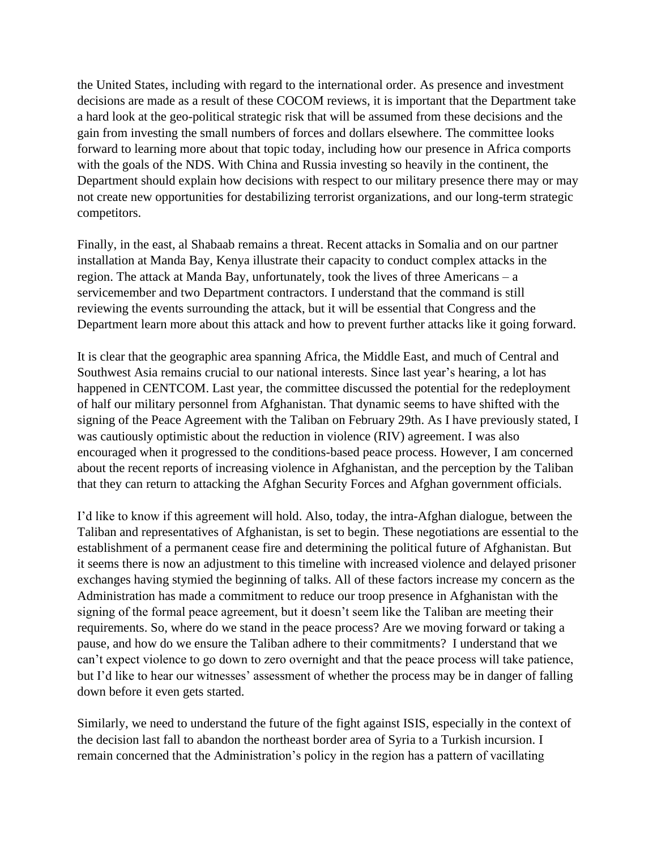the United States, including with regard to the international order. As presence and investment decisions are made as a result of these COCOM reviews, it is important that the Department take a hard look at the geo-political strategic risk that will be assumed from these decisions and the gain from investing the small numbers of forces and dollars elsewhere. The committee looks forward to learning more about that topic today, including how our presence in Africa comports with the goals of the NDS. With China and Russia investing so heavily in the continent, the Department should explain how decisions with respect to our military presence there may or may not create new opportunities for destabilizing terrorist organizations, and our long-term strategic competitors.

Finally, in the east, al Shabaab remains a threat. Recent attacks in Somalia and on our partner installation at Manda Bay, Kenya illustrate their capacity to conduct complex attacks in the region. The attack at Manda Bay, unfortunately, took the lives of three Americans – a servicemember and two Department contractors. I understand that the command is still reviewing the events surrounding the attack, but it will be essential that Congress and the Department learn more about this attack and how to prevent further attacks like it going forward.

It is clear that the geographic area spanning Africa, the Middle East, and much of Central and Southwest Asia remains crucial to our national interests. Since last year's hearing, a lot has happened in CENTCOM. Last year, the committee discussed the potential for the redeployment of half our military personnel from Afghanistan. That dynamic seems to have shifted with the signing of the Peace Agreement with the Taliban on February 29th. As I have previously stated, I was cautiously optimistic about the reduction in violence (RIV) agreement. I was also encouraged when it progressed to the conditions-based peace process. However, I am concerned about the recent reports of increasing violence in Afghanistan, and the perception by the Taliban that they can return to attacking the Afghan Security Forces and Afghan government officials.

I'd like to know if this agreement will hold. Also, today, the intra-Afghan dialogue, between the Taliban and representatives of Afghanistan, is set to begin. These negotiations are essential to the establishment of a permanent cease fire and determining the political future of Afghanistan. But it seems there is now an adjustment to this timeline with increased violence and delayed prisoner exchanges having stymied the beginning of talks. All of these factors increase my concern as the Administration has made a commitment to reduce our troop presence in Afghanistan with the signing of the formal peace agreement, but it doesn't seem like the Taliban are meeting their requirements. So, where do we stand in the peace process? Are we moving forward or taking a pause, and how do we ensure the Taliban adhere to their commitments? I understand that we can't expect violence to go down to zero overnight and that the peace process will take patience, but I'd like to hear our witnesses' assessment of whether the process may be in danger of falling down before it even gets started.

Similarly, we need to understand the future of the fight against ISIS, especially in the context of the decision last fall to abandon the northeast border area of Syria to a Turkish incursion. I remain concerned that the Administration's policy in the region has a pattern of vacillating